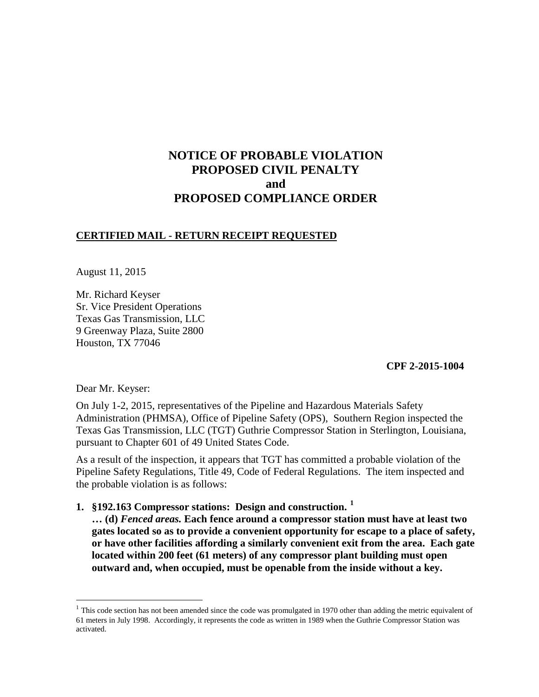# **NOTICE OF PROBABLE VIOLATION PROPOSED CIVIL PENALTY and PROPOSED COMPLIANCE ORDER**

### **CERTIFIED MAIL - RETURN RECEIPT REQUESTED**

August 11, 2015

Mr. Richard Keyser Sr. Vice President Operations Texas Gas Transmission, LLC 9 Greenway Plaza, Suite 2800 Houston, TX 77046

**CPF 2-2015-1004** 

Dear Mr. Keyser:

 $\overline{a}$ 

On July 1-2, 2015, representatives of the Pipeline and Hazardous Materials Safety Administration (PHMSA), Office of Pipeline Safety (OPS), Southern Region inspected the Texas Gas Transmission, LLC (TGT) Guthrie Compressor Station in Sterlington, Louisiana, pursuant to Chapter 601 of 49 United States Code.

As a result of the inspection, it appears that TGT has committed a probable violation of the Pipeline Safety Regulations, Title 49, Code of Federal Regulations. The item inspected and the probable violation is as follows:

**1. §192.163 Compressor stations: Design and construction. <sup>1</sup>**

**… (d)** *Fenced areas.* **Each fence around a compressor station must have at least two gates located so as to provide a convenient opportunity for escape to a place of safety, or have other facilities affording a similarly convenient exit from the area. Each gate located within 200 feet (61 meters) of any compressor plant building must open outward and, when occupied, must be openable from the inside without a key.**

 $1$  This code section has not been amended since the code was promulgated in 1970 other than adding the metric equivalent of 61 meters in July 1998. Accordingly, it represents the code as written in 1989 when the Guthrie Compressor Station was activated.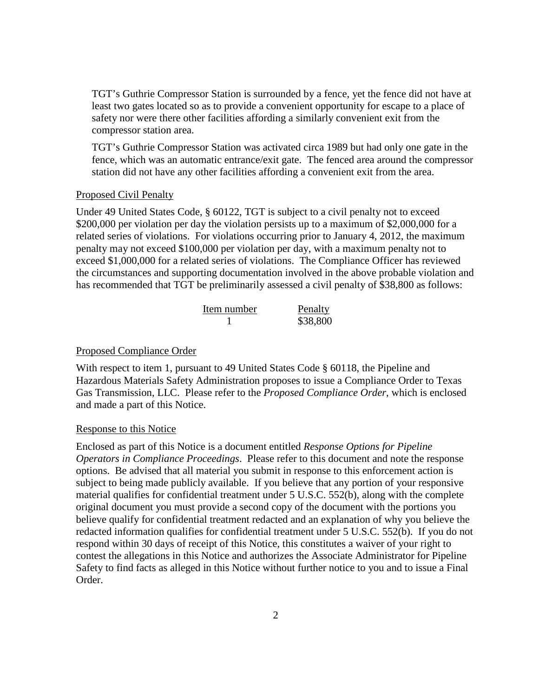TGT's Guthrie Compressor Station is surrounded by a fence, yet the fence did not have at least two gates located so as to provide a convenient opportunity for escape to a place of safety nor were there other facilities affording a similarly convenient exit from the compressor station area.

TGT's Guthrie Compressor Station was activated circa 1989 but had only one gate in the fence, which was an automatic entrance/exit gate. The fenced area around the compressor station did not have any other facilities affording a convenient exit from the area.

### Proposed Civil Penalty

Under 49 United States Code, § 60122, TGT is subject to a civil penalty not to exceed \$200,000 per violation per day the violation persists up to a maximum of \$2,000,000 for a related series of violations. For violations occurring prior to January 4, 2012, the maximum penalty may not exceed \$100,000 per violation per day, with a maximum penalty not to exceed \$1,000,000 for a related series of violations. The Compliance Officer has reviewed the circumstances and supporting documentation involved in the above probable violation and has recommended that TGT be preliminarily assessed a civil penalty of \$38,800 as follows:

| Item number | Penalty  |
|-------------|----------|
|             | \$38,800 |

#### Proposed Compliance Order

With respect to item 1, pursuant to 49 United States Code § 60118, the Pipeline and Hazardous Materials Safety Administration proposes to issue a Compliance Order to Texas Gas Transmission, LLC. Please refer to the *Proposed Compliance Order*, which is enclosed and made a part of this Notice.

#### Response to this Notice

Enclosed as part of this Notice is a document entitled *Response Options for Pipeline Operators in Compliance Proceedings*. Please refer to this document and note the response options. Be advised that all material you submit in response to this enforcement action is subject to being made publicly available. If you believe that any portion of your responsive material qualifies for confidential treatment under 5 U.S.C. 552(b), along with the complete original document you must provide a second copy of the document with the portions you believe qualify for confidential treatment redacted and an explanation of why you believe the redacted information qualifies for confidential treatment under 5 U.S.C. 552(b). If you do not respond within 30 days of receipt of this Notice, this constitutes a waiver of your right to contest the allegations in this Notice and authorizes the Associate Administrator for Pipeline Safety to find facts as alleged in this Notice without further notice to you and to issue a Final Order.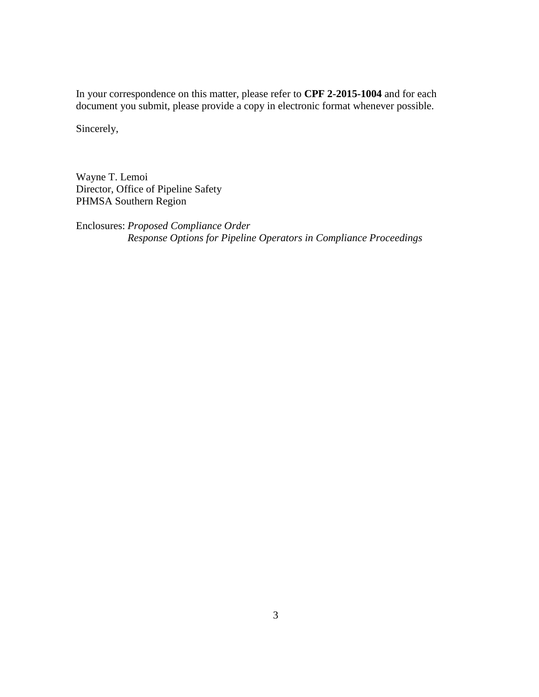In your correspondence on this matter, please refer to **CPF 2-2015-1004** and for each document you submit, please provide a copy in electronic format whenever possible.

Sincerely,

Wayne T. Lemoi Director, Office of Pipeline Safety PHMSA Southern Region

Enclosures: *Proposed Compliance Order Response Options for Pipeline Operators in Compliance Proceedings*